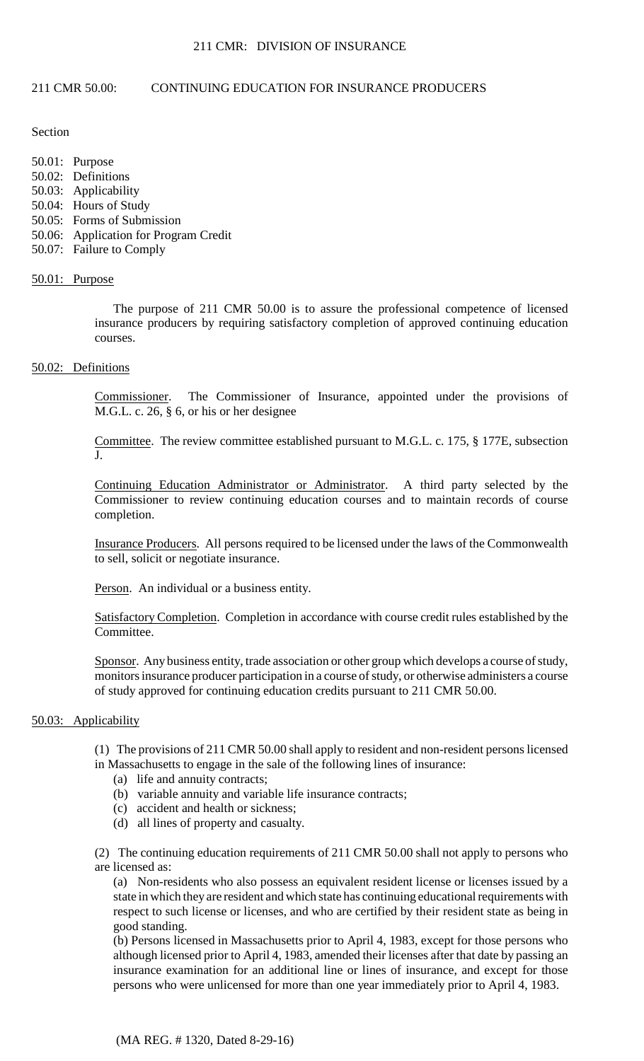# 211 CMR 50.00: CONTINUING EDUCATION FOR INSURANCE PRODUCERS

## Section

50.01: Purpose

- 50.02: Definitions
- 50.03: Applicability
- 50.04: Hours of Study
- 50.05: Forms of Submission
- 50.06: Application for Program Credit
- 50.07: Failure to Comply

# 50.01: Purpose

The purpose of 211 CMR 50.00 is to assure the professional competence of licensed insurance producers by requiring satisfactory completion of approved continuing education courses.

# 50.02: Definitions

Commissioner. The Commissioner of Insurance, appointed under the provisions of M.G.L. c. 26, § 6, or his or her designee

Committee. The review committee established pursuant to M.G.L. c. 175, § 177E, subsection J.

Continuing Education Administrator or Administrator. A third party selected by the Commissioner to review continuing education courses and to maintain records of course completion.

 Insurance Producers. All persons required to be licensed under the laws of the Commonwealth to sell, solicit or negotiate insurance.

Person. An individual or a business entity.

Satisfactory Completion. Completion in accordance with course credit rules established by the Committee.

Sponsor. Any business entity, trade association or other group which develops a course of study, monitors insurance producer participation in a course of study, or otherwise administers a course of study approved for continuing education credits pursuant to 211 CMR 50.00.

# 50.03: Applicability

(1) The provisions of 211 CMR 50.00 shall apply to resident and non-resident persons licensed in Massachusetts to engage in the sale of the following lines of insurance:

- (a) life and annuity contracts;
- (b) variable annuity and variable life insurance contracts;
- (c) accident and health or sickness;
- (d) all lines of property and casualty.

(2) The continuing education requirements of 211 CMR 50.00 shall not apply to persons who are licensed as:

 state in which they are resident and which state has continuing educational requirements with respect to such license or licenses, and who are certified by their resident state as being in (a) Non-residents who also possess an equivalent resident license or licenses issued by a good standing.

(b) Persons licensed in Massachusetts prior to April 4, 1983, except for those persons who although licensed prior to April 4, 1983, amended their licenses after that date by passing an insurance examination for an additional line or lines of insurance, and except for those persons who were unlicensed for more than one year immediately prior to April 4, 1983.